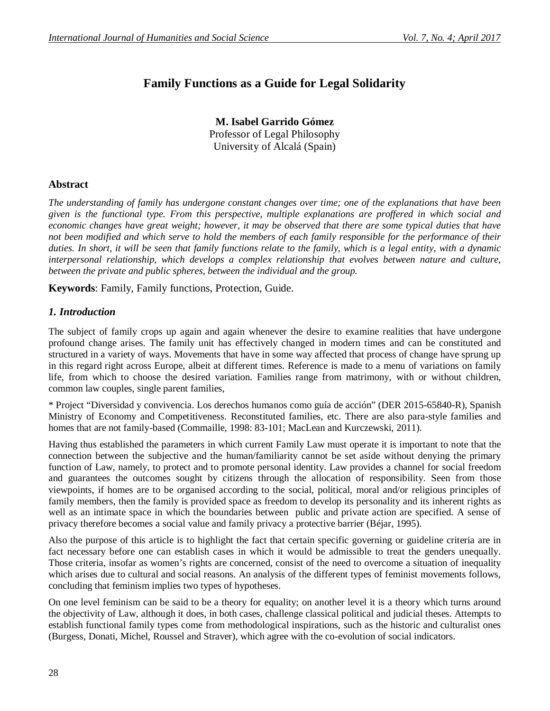# **Family Functions as a Guide for Legal Solidarity**

**M. Isabel Garrido Gómez** Professor of Legal Philosophy University of Alcalá (Spain)

## **Abstract**

*The understanding of family has undergone constant changes over time; one of the explanations that have been given is the functional type. From this perspective, multiple explanations are proffered in which social and economic changes have great weight; however, it may be observed that there are some typical duties that have not been modified and which serve to hold the members of each family responsible for the performance of their duties. In short, it will be seen that family functions relate to the family, which is a legal entity, with a dynamic interpersonal relationship, which develops a complex relationship that evolves between nature and culture, between the private and public spheres, between the individual and the group.*

**Keywords**: Family, Family functions, Protection, Guide.

## *1. Introduction*

The subject of family crops up again and again whenever the desire to examine realities that have undergone profound change arises. The family unit has effectively changed in modern times and can be constituted and structured in a variety of ways. Movements that have in some way affected that process of change have sprung up in this regard right across Europe, albeit at different times. Reference is made to a menu of variations on family life, from which to choose the desired variation. Families range from matrimony, with or without children, common law couples, single parent families,

\* Project "Diversidad y convivencia. Los derechos humanos como guía de acción" (DER 2015-65840-R), Spanish Ministry of Economy and Competitiveness. Reconstituted families, etc. There are also para-style families and homes that are not family-based (Commaille, 1998: 83-101; MacLean and Kurczewski, 2011).

Having thus established the parameters in which current Family Law must operate it is important to note that the connection between the subjective and the human/familiarity cannot be set aside without denying the primary function of Law, namely, to protect and to promote personal identity. Law provides a channel for social freedom and guarantees the outcomes sought by citizens through the allocation of responsibility. Seen from those viewpoints, if homes are to be organised according to the social, political, moral and/or religious principles of family members, then the family is provided space as freedom to develop its personality and its inherent rights as well as an intimate space in which the boundaries between public and private action are specified. A sense of privacy therefore becomes a social value and family privacy a protective barrier (Béjar, 1995).

Also the purpose of this article is to highlight the fact that certain specific governing or guideline criteria are in fact necessary before one can establish cases in which it would be admissible to treat the genders unequally. Those criteria, insofar as women's rights are concerned, consist of the need to overcome a situation of inequality which arises due to cultural and social reasons. An analysis of the different types of feminist movements follows, concluding that feminism implies two types of hypotheses.

On one level feminism can be said to be a theory for equality; on another level it is a theory which turns around the objectivity of Law, although it does, in both cases, challenge classical political and judicial theses. Attempts to establish functional family types come from methodological inspirations, such as the historic and culturalist ones (Burgess, Donati, Michel, Roussel and Straver), which agree with the co-evolution of social indicators.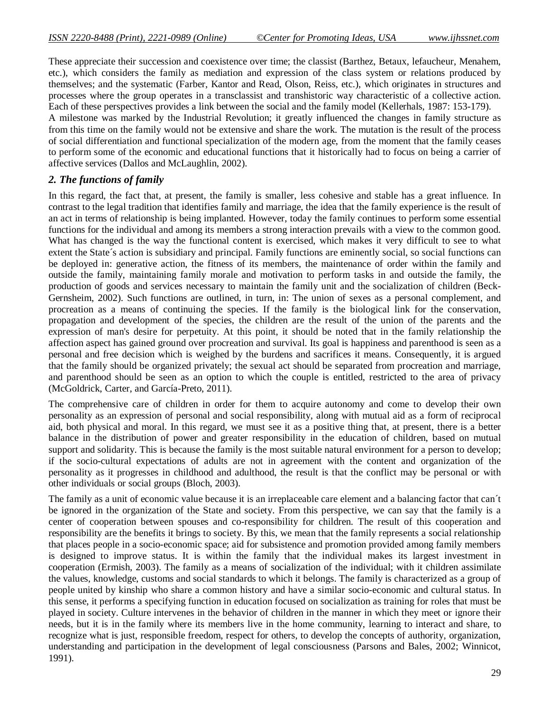These appreciate their succession and coexistence over time; the classist (Barthez, Betaux, lefaucheur, Menahem, etc.), which considers the family as mediation and expression of the class system or relations produced by themselves; and the systematic (Farber, Kantor and Read, Olson, Reiss, etc.), which originates in structures and processes where the group operates in a transclassist and transhistoric way characteristic of a collective action. Each of these perspectives provides a link between the social and the family model (Kellerhals, 1987: 153-179). A milestone was marked by the Industrial Revolution; it greatly influenced the changes in family structure as from this time on the family would not be extensive and share the work. The mutation is the result of the process of social differentiation and functional specialization of the modern age, from the moment that the family ceases to perform some of the economic and educational functions that it historically had to focus on being a carrier of affective services (Dallos and McLaughlin, 2002).

### *2. The functions of family*

In this regard, the fact that, at present, the family is smaller, less cohesive and stable has a great influence. In contrast to the legal tradition that identifies family and marriage, the idea that the family experience is the result of an act in terms of relationship is being implanted. However, today the family continues to perform some essential functions for the individual and among its members a strong interaction prevails with a view to the common good. What has changed is the way the functional content is exercised, which makes it very difficult to see to what extent the State´s action is subsidiary and principal. Family functions are eminently social, so social functions can be deployed in: generative action, the fitness of its members, the maintenance of order within the family and outside the family, maintaining family morale and motivation to perform tasks in and outside the family, the production of goods and services necessary to maintain the family unit and the socialization of children (Beck-Gernsheim, 2002). Such functions are outlined, in turn, in: The union of sexes as a personal complement, and procreation as a means of continuing the species. If the family is the biological link for the conservation, propagation and development of the species, the children are the result of the union of the parents and the expression of man's desire for perpetuity. At this point, it should be noted that in the family relationship the affection aspect has gained ground over procreation and survival. Its goal is happiness and parenthood is seen as a personal and free decision which is weighed by the burdens and sacrifices it means. Consequently, it is argued that the family should be organized privately; the sexual act should be separated from procreation and marriage, and parenthood should be seen as an option to which the couple is entitled, restricted to the area of privacy (McGoldrick, Carter, and García-Preto, 2011).

The comprehensive care of children in order for them to acquire autonomy and come to develop their own personality as an expression of personal and social responsibility, along with mutual aid as a form of reciprocal aid, both physical and moral. In this regard, we must see it as a positive thing that, at present, there is a better balance in the distribution of power and greater responsibility in the education of children, based on mutual support and solidarity. This is because the family is the most suitable natural environment for a person to develop; if the socio-cultural expectations of adults are not in agreement with the content and organization of the personality as it progresses in childhood and adulthood, the result is that the conflict may be personal or with other individuals or social groups (Bloch, 2003).

The family as a unit of economic value because it is an irreplaceable care element and a balancing factor that can´t be ignored in the organization of the State and society. From this perspective, we can say that the family is a center of cooperation between spouses and co-responsibility for children. The result of this cooperation and responsibility are the benefits it brings to society. By this, we mean that the family represents a social relationship that places people in a socio-economic space; aid for subsistence and promotion provided among family members is designed to improve status. It is within the family that the individual makes its largest investment in cooperation (Ermish, 2003). The family as a means of socialization of the individual; with it children assimilate the values, knowledge, customs and social standards to which it belongs. The family is characterized as a group of people united by kinship who share a common history and have a similar socio-economic and cultural status. In this sense, it performs a specifying function in education focused on socialization as training for roles that must be played in society. Culture intervenes in the behavior of children in the manner in which they meet or ignore their needs, but it is in the family where its members live in the home community, learning to interact and share, to recognize what is just, responsible freedom, respect for others, to develop the concepts of authority, organization, understanding and participation in the development of legal consciousness (Parsons and Bales, 2002; Winnicot, 1991).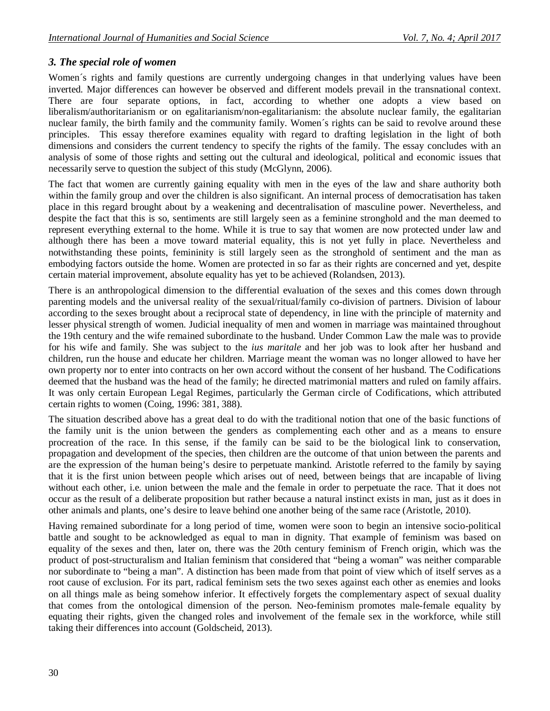## *3. The special role of women*

Women's rights and family questions are currently undergoing changes in that underlying values have been inverted. Major differences can however be observed and different models prevail in the transnational context. There are four separate options, in fact, according to whether one adopts a view based on liberalism/authoritarianism or on egalitarianism/non-egalitarianism: the absolute nuclear family, the egalitarian nuclear family, the birth family and the community family. Women´s rights can be said to revolve around these principles. This essay therefore examines equality with regard to drafting legislation in the light of both dimensions and considers the current tendency to specify the rights of the family. The essay concludes with an analysis of some of those rights and setting out the cultural and ideological, political and economic issues that necessarily serve to question the subject of this study (McGlynn, 2006).

The fact that women are currently gaining equality with men in the eyes of the law and share authority both within the family group and over the children is also significant. An internal process of democratisation has taken place in this regard brought about by a weakening and decentralisation of masculine power. Nevertheless, and despite the fact that this is so, sentiments are still largely seen as a feminine stronghold and the man deemed to represent everything external to the home. While it is true to say that women are now protected under law and although there has been a move toward material equality, this is not yet fully in place. Nevertheless and notwithstanding these points, femininity is still largely seen as the stronghold of sentiment and the man as embodying factors outside the home. Women are protected in so far as their rights are concerned and yet, despite certain material improvement, absolute equality has yet to be achieved (Rolandsen, 2013).

There is an anthropological dimension to the differential evaluation of the sexes and this comes down through parenting models and the universal reality of the sexual/ritual/family co-division of partners. Division of labour according to the sexes brought about a reciprocal state of dependency, in line with the principle of maternity and lesser physical strength of women. Judicial inequality of men and women in marriage was maintained throughout the 19th century and the wife remained subordinate to the husband. Under Common Law the male was to provide for his wife and family. She was subject to the *ius maritale* and her job was to look after her husband and children, run the house and educate her children. Marriage meant the woman was no longer allowed to have her own property nor to enter into contracts on her own accord without the consent of her husband. The Codifications deemed that the husband was the head of the family; he directed matrimonial matters and ruled on family affairs. It was only certain European Legal Regimes, particularly the German circle of Codifications, which attributed certain rights to women (Coing, 1996: 381, 388).

The situation described above has a great deal to do with the traditional notion that one of the basic functions of the family unit is the union between the genders as complementing each other and as a means to ensure procreation of the race. In this sense, if the family can be said to be the biological link to conservation, propagation and development of the species, then children are the outcome of that union between the parents and are the expression of the human being's desire to perpetuate mankind. Aristotle referred to the family by saying that it is the first union between people which arises out of need, between beings that are incapable of living without each other, i.e. union between the male and the female in order to perpetuate the race. That it does not occur as the result of a deliberate proposition but rather because a natural instinct exists in man, just as it does in other animals and plants, one's desire to leave behind one another being of the same race (Aristotle, 2010).

Having remained subordinate for a long period of time, women were soon to begin an intensive socio-political battle and sought to be acknowledged as equal to man in dignity. That example of feminism was based on equality of the sexes and then, later on, there was the 20th century feminism of French origin, which was the product of post-structuralism and Italian feminism that considered that "being a woman" was neither comparable nor subordinate to "being a man". A distinction has been made from that point of view which of itself serves as a root cause of exclusion. For its part, radical feminism sets the two sexes against each other as enemies and looks on all things male as being somehow inferior. It effectively forgets the complementary aspect of sexual duality that comes from the ontological dimension of the person. Neo-feminism promotes male-female equality by equating their rights, given the changed roles and involvement of the female sex in the workforce, while still taking their differences into account (Goldscheid, 2013).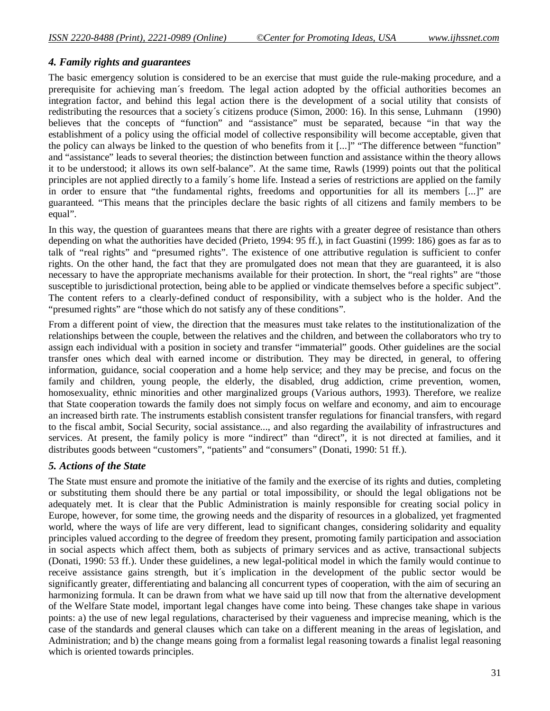#### *4. Family rights and guarantees*

The basic emergency solution is considered to be an exercise that must guide the rule-making procedure, and a prerequisite for achieving man´s freedom. The legal action adopted by the official authorities becomes an integration factor, and behind this legal action there is the development of a social utility that consists of redistributing the resources that a society´s citizens produce (Simon, 2000: 16). In this sense, Luhmann (1990) believes that the concepts of "function" and "assistance" must be separated, because "in that way the establishment of a policy using the official model of collective responsibility will become acceptable, given that the policy can always be linked to the question of who benefits from it [...]" "The difference between "function" and "assistance" leads to several theories; the distinction between function and assistance within the theory allows it to be understood; it allows its own self-balance". At the same time, Rawls (1999) points out that the political principles are not applied directly to a family´s home life. Instead a series of restrictions are applied on the family in order to ensure that "the fundamental rights, freedoms and opportunities for all its members [...]" are guaranteed. "This means that the principles declare the basic rights of all citizens and family members to be equal".

In this way, the question of guarantees means that there are rights with a greater degree of resistance than others depending on what the authorities have decided (Prieto, 1994: 95 ff.), in fact Guastini (1999: 186) goes as far as to talk of "real rights" and "presumed rights". The existence of one attributive regulation is sufficient to confer rights. On the other hand, the fact that they are promulgated does not mean that they are guaranteed, it is also necessary to have the appropriate mechanisms available for their protection. In short, the "real rights" are "those susceptible to jurisdictional protection, being able to be applied or vindicate themselves before a specific subject". The content refers to a clearly-defined conduct of responsibility, with a subject who is the holder. And the "presumed rights" are "those which do not satisfy any of these conditions".

From a different point of view, the direction that the measures must take relates to the institutionalization of the relationships between the couple, between the relatives and the children, and between the collaborators who try to assign each individual with a position in society and transfer "immaterial" goods. Other guidelines are the social transfer ones which deal with earned income or distribution. They may be directed, in general, to offering information, guidance, social cooperation and a home help service; and they may be precise, and focus on the family and children, young people, the elderly, the disabled, drug addiction, crime prevention, women, homosexuality, ethnic minorities and other marginalized groups (Various authors, 1993). Therefore, we realize that State cooperation towards the family does not simply focus on welfare and economy, and aim to encourage an increased birth rate. The instruments establish consistent transfer regulations for financial transfers, with regard to the fiscal ambit, Social Security, social assistance..., and also regarding the availability of infrastructures and services. At present, the family policy is more "indirect" than "direct", it is not directed at families, and it distributes goods between "customers", "patients" and "consumers" (Donati, 1990: 51 ff.).

### *5. Actions of the State*

The State must ensure and promote the initiative of the family and the exercise of its rights and duties, completing or substituting them should there be any partial or total impossibility, or should the legal obligations not be adequately met. It is clear that the Public Administration is mainly responsible for creating social policy in Europe, however, for some time, the growing needs and the disparity of resources in a globalized, yet fragmented world, where the ways of life are very different, lead to significant changes, considering solidarity and equality principles valued according to the degree of freedom they present, promoting family participation and association in social aspects which affect them, both as subjects of primary services and as active, transactional subjects (Donati, 1990: 53 ff.). Under these guidelines, a new legal-political model in which the family would continue to receive assistance gains strength, but it´s implication in the development of the public sector would be significantly greater, differentiating and balancing all concurrent types of cooperation, with the aim of securing an harmonizing formula. It can be drawn from what we have said up till now that from the alternative development of the Welfare State model, important legal changes have come into being. These changes take shape in various points: a) the use of new legal regulations, characterised by their vagueness and imprecise meaning, which is the case of the standards and general clauses which can take on a different meaning in the areas of legislation, and Administration; and b) the change means going from a formalist legal reasoning towards a finalist legal reasoning which is oriented towards principles.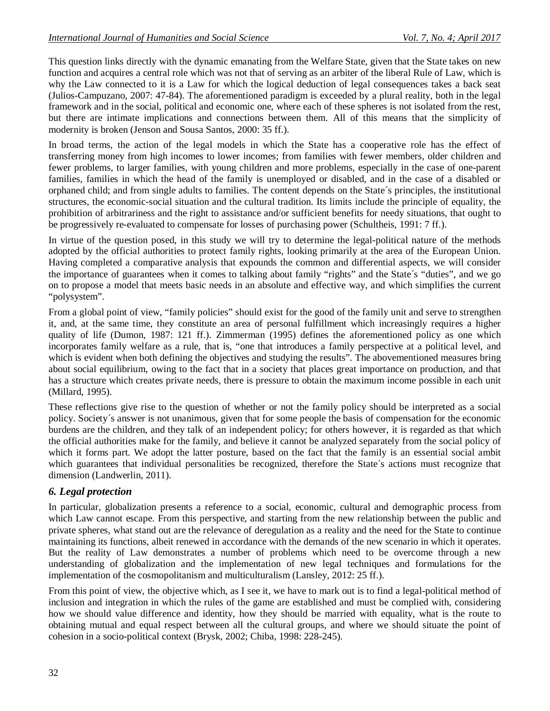This question links directly with the dynamic emanating from the Welfare State, given that the State takes on new function and acquires a central role which was not that of serving as an arbiter of the liberal Rule of Law, which is why the Law connected to it is a Law for which the logical deduction of legal consequences takes a back seat (Julios-Campuzano, 2007: 47-84). The aforementioned paradigm is exceeded by a plural reality, both in the legal framework and in the social, political and economic one, where each of these spheres is not isolated from the rest, but there are intimate implications and connections between them. All of this means that the simplicity of modernity is broken (Jenson and Sousa Santos, 2000: 35 ff.).

In broad terms, the action of the legal models in which the State has a cooperative role has the effect of transferring money from high incomes to lower incomes; from families with fewer members, older children and fewer problems, to larger families, with young children and more problems, especially in the case of one-parent families, families in which the head of the family is unemployed or disabled, and in the case of a disabled or orphaned child; and from single adults to families. The content depends on the State´s principles, the institutional structures, the economic-social situation and the cultural tradition. Its limits include the principle of equality, the prohibition of arbitrariness and the right to assistance and/or sufficient benefits for needy situations, that ought to be progressively re-evaluated to compensate for losses of purchasing power (Schultheis, 1991: 7 ff.).

In virtue of the question posed, in this study we will try to determine the legal-political nature of the methods adopted by the official authorities to protect family rights, looking primarily at the area of the European Union. Having completed a comparative analysis that expounds the common and differential aspects, we will consider the importance of guarantees when it comes to talking about family "rights" and the State´s "duties", and we go on to propose a model that meets basic needs in an absolute and effective way, and which simplifies the current "polysystem".

From a global point of view, "family policies" should exist for the good of the family unit and serve to strengthen it, and, at the same time, they constitute an area of personal fulfillment which increasingly requires a higher quality of life (Dumon, 1987: 121 ff.). Zimmerman (1995) defines the aforementioned policy as one which incorporates family welfare as a rule, that is, "one that introduces a family perspective at a political level, and which is evident when both defining the objectives and studying the results". The abovementioned measures bring about social equilibrium, owing to the fact that in a society that places great importance on production, and that has a structure which creates private needs, there is pressure to obtain the maximum income possible in each unit (Millard, 1995).

These reflections give rise to the question of whether or not the family policy should be interpreted as a social policy. Society´s answer is not unanimous, given that for some people the basis of compensation for the economic burdens are the children, and they talk of an independent policy; for others however, it is regarded as that which the official authorities make for the family, and believe it cannot be analyzed separately from the social policy of which it forms part. We adopt the latter posture, based on the fact that the family is an essential social ambit which guarantees that individual personalities be recognized, therefore the State's actions must recognize that dimension (Landwerlin, 2011).

## *6. Legal protection*

In particular, globalization presents a reference to a social, economic, cultural and demographic process from which Law cannot escape. From this perspective, and starting from the new relationship between the public and private spheres, what stand out are the relevance of deregulation as a reality and the need for the State to continue maintaining its functions, albeit renewed in accordance with the demands of the new scenario in which it operates. But the reality of Law demonstrates a number of problems which need to be overcome through a new understanding of globalization and the implementation of new legal techniques and formulations for the implementation of the cosmopolitanism and multiculturalism (Lansley, 2012: 25 ff.).

From this point of view, the objective which, as I see it, we have to mark out is to find a legal-political method of inclusion and integration in which the rules of the game are established and must be complied with, considering how we should value difference and identity, how they should be married with equality, what is the route to obtaining mutual and equal respect between all the cultural groups, and where we should situate the point of cohesion in a socio-political context (Brysk, 2002; Chiba, 1998: 228-245).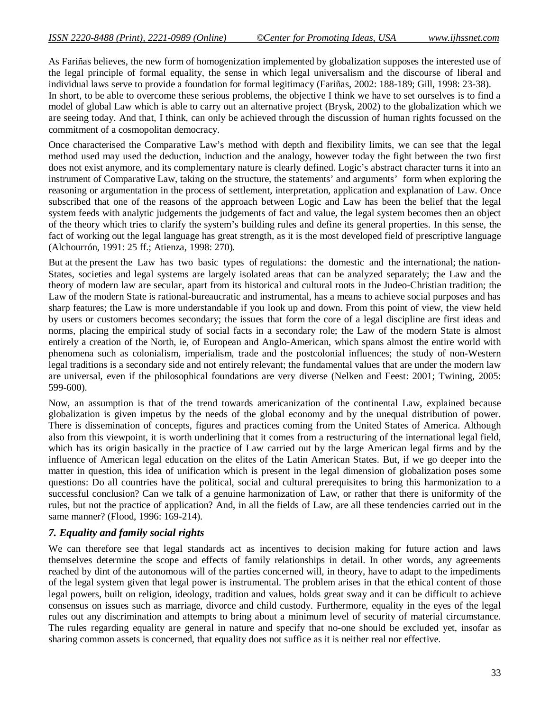As Fariñas believes, the new form of homogenization implemented by globalization supposes the interested use of the legal principle of formal equality, the sense in which legal universalism and the discourse of liberal and individual laws serve to provide a foundation for formal legitimacy (Fariñas, 2002: 188-189; Gill, 1998: 23-38). In short, to be able to overcome these serious problems, the objective I think we have to set ourselves is to find a model of global Law which is able to carry out an alternative project (Brysk, 2002) to the globalization which we are seeing today. And that, I think, can only be achieved through the discussion of human rights focussed on the commitment of a cosmopolitan democracy.

Once characterised the Comparative Law's method with depth and flexibility limits, we can see that the legal method used may used the deduction, induction and the analogy, however today the fight between the two first does not exist anymore, and its complementary nature is clearly defined. Logic's abstract character turns it into an instrument of Comparative Law, taking on the structure, the statements' and arguments' form when exploring the reasoning or argumentation in the process of settlement, interpretation, application and explanation of Law. Once subscribed that one of the reasons of the approach between Logic and Law has been the belief that the legal system feeds with analytic judgements the judgements of fact and value, the legal system becomes then an object of the theory which tries to clarify the system's building rules and define its general properties. In this sense, the fact of working out the legal language has great strength, as it is the most developed field of prescriptive language (Alchourrón, 1991: 25 ff.; Atienza, 1998: 270).

But at the present the Law has two basic types of regulations: the domestic and the international; the nation-States, societies and legal systems are largely isolated areas that can be analyzed separately; the Law and the theory of modern law are secular, apart from its historical and cultural roots in the Judeo-Christian tradition; the Law of the modern State is rational-bureaucratic and instrumental, has a means to achieve social purposes and has sharp features; the Law is more understandable if you look up and down. From this point of view, the view held by users or customers becomes secondary; the issues that form the core of a legal discipline are first ideas and norms, placing the empirical study of social facts in a secondary role; the Law of the modern State is almost entirely a creation of the North, ie, of European and Anglo-American, which spans almost the entire world with phenomena such as colonialism, imperialism, trade and the postcolonial influences; the study of non-Western legal traditions is a secondary side and not entirely relevant; the fundamental values that are under the modern law are universal, even if the philosophical foundations are very diverse (Nelken and Feest: 2001; Twining, 2005: 599-600).

Now, an assumption is that of the trend towards americanization of the continental Law, explained because globalization is given impetus by the needs of the global economy and by the unequal distribution of power. There is dissemination of concepts, figures and practices coming from the United States of America. Although also from this viewpoint, it is worth underlining that it comes from a restructuring of the international legal field, which has its origin basically in the practice of Law carried out by the large American legal firms and by the influence of American legal education on the elites of the Latin American States. But, if we go deeper into the matter in question, this idea of unification which is present in the legal dimension of globalization poses some questions: Do all countries have the political, social and cultural prerequisites to bring this harmonization to a successful conclusion? Can we talk of a genuine harmonization of Law, or rather that there is uniformity of the rules, but not the practice of application? And, in all the fields of Law, are all these tendencies carried out in the same manner? (Flood, 1996: 169-214).

#### *7. Equality and family social rights*

We can therefore see that legal standards act as incentives to decision making for future action and laws themselves determine the scope and effects of family relationships in detail. In other words, any agreements reached by dint of the autonomous will of the parties concerned will, in theory, have to adapt to the impediments of the legal system given that legal power is instrumental. The problem arises in that the ethical content of those legal powers, built on religion, ideology, tradition and values, holds great sway and it can be difficult to achieve consensus on issues such as marriage, divorce and child custody. Furthermore, equality in the eyes of the legal rules out any discrimination and attempts to bring about a minimum level of security of material circumstance. The rules regarding equality are general in nature and specify that no-one should be excluded yet, insofar as sharing common assets is concerned, that equality does not suffice as it is neither real nor effective.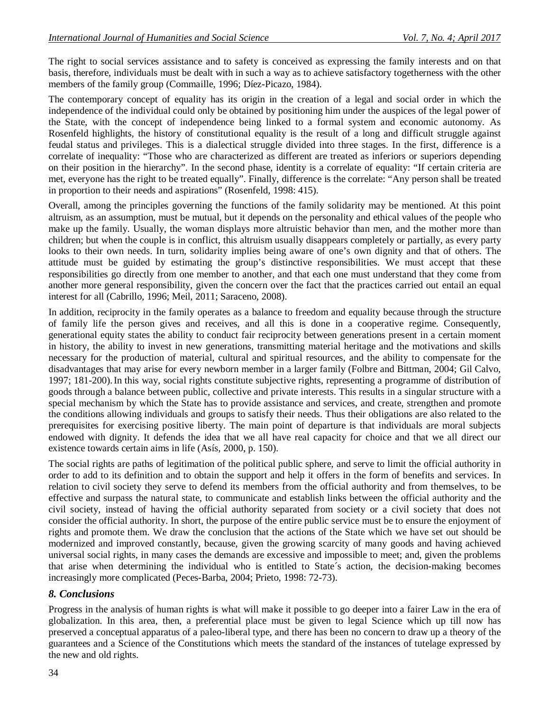The right to social services assistance and to safety is conceived as expressing the family interests and on that basis, therefore, individuals must be dealt with in such a way as to achieve satisfactory togetherness with the other members of the family group (Commaille, 1996; Díez-Picazo, 1984).

The contemporary concept of equality has its origin in the creation of a legal and social order in which the independence of the individual could only be obtained by positioning him under the auspices of the legal power of the State, with the concept of independence being linked to a formal system and economic autonomy. As Rosenfeld highlights, the history of constitutional equality is the result of a long and difficult struggle against feudal status and privileges. This is a dialectical struggle divided into three stages. In the first, difference is a correlate of inequality: "Those who are characterized as different are treated as inferiors or superiors depending on their position in the hierarchy". In the second phase, identity is a correlate of equality: "If certain criteria are met, everyone has the right to be treated equally". Finally, difference is the correlate: "Any person shall be treated in proportion to their needs and aspirations" (Rosenfeld, 1998: 415).

Overall, among the principles governing the functions of the family solidarity may be mentioned. At this point altruism, as an assumption, must be mutual, but it depends on the personality and ethical values of the people who make up the family. Usually, the woman displays more altruistic behavior than men, and the mother more than children; but when the couple is in conflict, this altruism usually disappears completely or partially, as every party looks to their own needs. In turn, solidarity implies being aware of one's own dignity and that of others. The attitude must be guided by estimating the group's distinctive responsibilities. We must accept that these responsibilities go directly from one member to another, and that each one must understand that they come from another more general responsibility, given the concern over the fact that the practices carried out entail an equal interest for all (Cabrillo, 1996; Meil, 2011; Saraceno, 2008).

In addition, reciprocity in the family operates as a balance to freedom and equality because through the structure of family life the person gives and receives, and all this is done in a cooperative regime. Consequently, generational equity states the ability to conduct fair reciprocity between generations present in a certain moment in history, the ability to invest in new generations, transmitting material heritage and the motivations and skills necessary for the production of material, cultural and spiritual resources, and the ability to compensate for the disadvantages that may arise for every newborn member in a larger family (Folbre and Bittman, 2004; Gil Calvo, 1997; 181-200).In this way, social rights constitute subjective rights, representing a programme of distribution of goods through a balance between public, collective and private interests. This results in a singular structure with a special mechanism by which the State has to provide assistance and services, and create, strengthen and promote the conditions allowing individuals and groups to satisfy their needs. Thus their obligations are also related to the prerequisites for exercising positive liberty. The main point of departure is that individuals are moral subjects endowed with dignity. It defends the idea that we all have real capacity for choice and that we all direct our existence towards certain aims in life (Asís, 2000, p. 150).

The social rights are paths of legitimation of the political public sphere, and serve to limit the official authority in order to add to its definition and to obtain the support and help it offers in the form of benefits and services. In relation to civil society they serve to defend its members from the official authority and from themselves, to be effective and surpass the natural state, to communicate and establish links between the official authority and the civil society, instead of having the official authority separated from society or a civil society that does not consider the official authority. In short, the purpose of the entire public service must be to ensure the enjoyment of rights and promote them. We draw the conclusion that the actions of the State which we have set out should be modernized and improved constantly, because, given the growing scarcity of many goods and having achieved universal social rights, in many cases the demands are excessive and impossible to meet; and, given the problems that arise when determining the individual who is entitled to State´s action, the decision-making becomes increasingly more complicated (Peces-Barba, 2004; Prieto, 1998: 72-73).

## *8. Conclusions*

Progress in the analysis of human rights is what will make it possible to go deeper into a fairer Law in the era of globalization. In this area, then, a preferential place must be given to legal Science which up till now has preserved a conceptual apparatus of a paleo-liberal type, and there has been no concern to draw up a theory of the guarantees and a Science of the Constitutions which meets the standard of the instances of tutelage expressed by the new and old rights.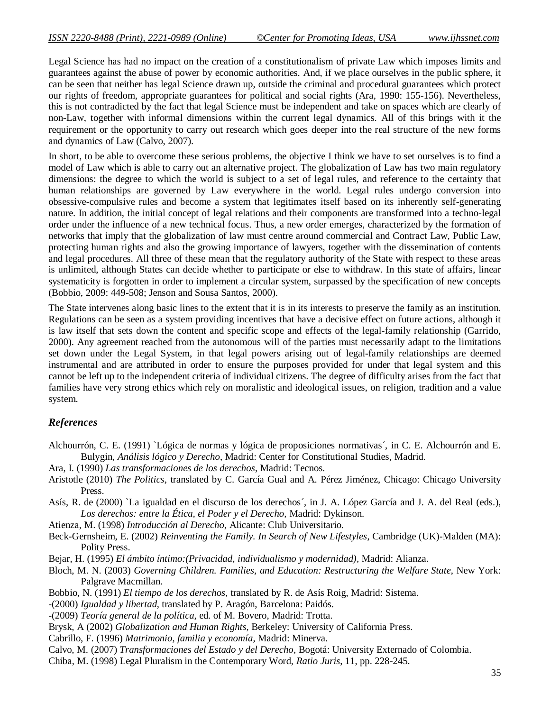Legal Science has had no impact on the creation of a constitutionalism of private Law which imposes limits and guarantees against the abuse of power by economic authorities. And, if we place ourselves in the public sphere, it can be seen that neither has legal Science drawn up, outside the criminal and procedural guarantees which protect our rights of freedom, appropriate guarantees for political and social rights (Ara, 1990: 155-156). Nevertheless, this is not contradicted by the fact that legal Science must be independent and take on spaces which are clearly of non-Law, together with informal dimensions within the current legal dynamics. All of this brings with it the requirement or the opportunity to carry out research which goes deeper into the real structure of the new forms and dynamics of Law (Calvo, 2007).

In short, to be able to overcome these serious problems, the objective I think we have to set ourselves is to find a model of Law which is able to carry out an alternative project. The globalization of Law has two main regulatory dimensions: the degree to which the world is subject to a set of legal rules, and reference to the certainty that human relationships are governed by Law everywhere in the world. Legal rules undergo conversion into obsessive-compulsive rules and become a system that legitimates itself based on its inherently self-generating nature. In addition, the initial concept of legal relations and their components are transformed into a techno-legal order under the influence of a new technical focus. Thus, a new order emerges, characterized by the formation of networks that imply that the globalization of law must centre around commercial and Contract Law, Public Law, protecting human rights and also the growing importance of lawyers, together with the dissemination of contents and legal procedures. All three of these mean that the regulatory authority of the State with respect to these areas is unlimited, although States can decide whether to participate or else to withdraw. In this state of affairs, linear systematicity is forgotten in order to implement a circular system, surpassed by the specification of new concepts (Bobbio, 2009: 449-508; Jenson and Sousa Santos, 2000).

The State intervenes along basic lines to the extent that it is in its interests to preserve the family as an institution. Regulations can be seen as a system providing incentives that have a decisive effect on future actions, although it is law itself that sets down the content and specific scope and effects of the legal-family relationship (Garrido, 2000). Any agreement reached from the autonomous will of the parties must necessarily adapt to the limitations set down under the Legal System, in that legal powers arising out of legal-family relationships are deemed instrumental and are attributed in order to ensure the purposes provided for under that legal system and this cannot be left up to the independent criteria of individual citizens. The degree of difficulty arises from the fact that families have very strong ethics which rely on moralistic and ideological issues, on religion, tradition and a value system.

## *References*

- Alchourrón, C. E. (1991) `Lógica de normas y lógica de proposiciones normativas´, in C. E. Alchourrón and E. Bulygin, *Análisis lógico y Derecho*, Madrid: Center for Constitutional Studies, Madrid.
- Ara, I. (1990) *Las transformaciones de los derechos*, Madrid: Tecnos.
- Aristotle (2010) *The Politics*, translated by C. García Gual and A. Pérez Jiménez, Chicago: Chicago University Press.
- Asís, R. de (2000) `La igualdad en el discurso de los derechos´, in J. A. López García and J. A. del Real (eds.), *Los derechos: entre la Ética, el Poder y el Derecho,* Madrid: Dykinson.
- Atienza, M. (1998) *Introducción al Derecho*, Alicante: Club Universitario.
- Beck-Gernsheim, E. (2002) *Reinventing the Family. In Search of New Lifestyles*, Cambridge (UK)-Malden (MA): Polity Press.
- Bejar, H. (1995) *El ámbito íntimo:(Privacidad, individualismo y modernidad),* Madrid: Alianza.
- Bloch, M. N. (2003) *Governing Children. Families, and Education: Restructuring the Welfare State*, New York: Palgrave Macmillan.
- Bobbio, N. (1991) *El tiempo de los derechos*, translated by R. de Asís Roig, Madrid: Sistema.
- -(2000) *Igualdad y libertad*, translated by P. Aragón, Barcelona: Paidós.
- -(2009) *Teoría general de la política*, ed. of M. Bovero, Madrid: Trotta.
- Brysk, A (2002) *Globalization and Human Rights*, Berkeley: University of California Press.
- Cabrillo, F. (1996) *Matrimonio, familia y economía*, Madrid: Minerva.
- Calvo, M. (2007) *Transformaciones del Estado y del Derecho*, Bogotá: University Externado of Colombia.
- Chiba, M. (1998) Legal Pluralism in the Contemporary Word, *Ratio Juris*, 11, pp. 228-245.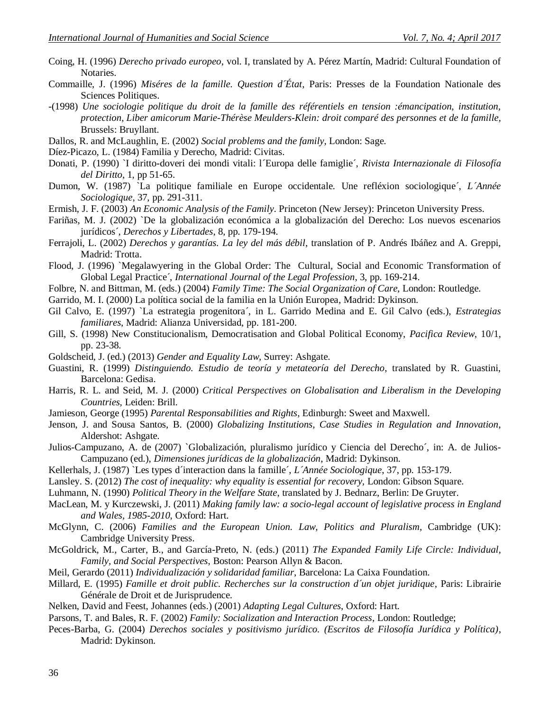- Coing, H. (1996) *Derecho privado europeo*, vol. I, translated by A. Pérez Martín, Madrid: Cultural Foundation of Notaries.
- Commaille, J. (1996) *Miséres de la famille. Question d´État*, Paris: Presses de la Foundation Nationale des Sciences Politiques.
- -(1998) *Une sociologie politique du droit de la famille des référentiels en tension :émancipation, institution, protection, Liber amicorum Marie-Thérèse Meulders-Klein: droit comparé des personnes et de la famille,*  Brussels: Bruyllant.
- Dallos, R. and McLaughlin, E. (2002) *Social problems and the family,* London: Sage.
- Díez-Picazo, L. (1984) Familia y Derecho, Madrid: Civitas.
- Donati, P. (1990) `I diritto-doveri dei mondi vitali: l´Europa delle famiglie´, *Rivista Internazionale di Filosofía del Diritto*, 1, pp 51-65.
- Dumon, W. (1987) `La politique familiale en Europe occidentale. Une refléxion sociologique´, *L´Année Sociologique*, 37, pp. 291-311.
- Ermish, J. F. (2003) *An Economic Analysis of the Family*. Princeton (New Jersey): Princeton University Press.
- Fariñas, M. J. (2002) `De la globalización económica a la globalización del Derecho: Los nuevos escenarios jurídicos´, *Derechos y Libertades*, 8, pp. 179-194.
- Ferrajoli, L. (2002) *Derechos y garantías. La ley del más débil*, translation of P. Andrés Ibáñez and A. Greppi, Madrid: Trotta.
- Flood, J. (1996) `Megalawyering in the Global Order: The Cultural, Social and Economic Transformation of Global Legal Practice´, *International Journal of the Legal Profession*, 3, pp. 169-214.
- Folbre, N. and Bittman, M. (eds.) (2004) *Family Time: The Social Organization of Care*, London: Routledge.
- Garrido, M. I. (2000) La política social de la familia en la Unión Europea, Madrid: Dykinson.
- Gil Calvo, E. (1997) `La estrategia progenitora´, in L. Garrido Medina and E. Gil Calvo (eds.), *Estrategias familiares,* Madrid: Alianza Universidad, pp. 181-200.
- Gill, S. (1998) New Constitucionalism, Democratisation and Global Political Economy, *Pacifica Review*, 10/1, pp. 23-38.
- Goldscheid, J. (ed.) (2013) *Gender and Equality Law,* Surrey: Ashgate.
- Guastini, R. (1999) *Distinguiendo. Estudio de teoría y metateoría del Derecho*, translated by R. Guastini, Barcelona: Gedisa.
- Harris, R. L. and Seid, M. J. (2000) *Critical Perspectives on Globalisation and Liberalism in the Developing Countries*, Leiden: Brill.
- Jamieson, George (1995) *Parental Responsabilities and Rights*, Edinburgh: Sweet and Maxwell.
- Jenson, J. and Sousa Santos, B. (2000) *Globalizing Institutions, Case Studies in Regulation and Innovation*, Aldershot: Ashgate.
- Julios-Campuzano, A. de (2007) `Globalización, pluralismo jurídico y Ciencia del Derecho´, in: A. de Julios-Campuzano (ed.), *Dimensiones jurídicas de la globalización*, Madrid: Dykinson.
- Kellerhals, J. (1987) `Les types d´interaction dans la famille´, *L´Année Sociologique*, 37, pp. 153-179.
- Lansley. S. (2012) *The cost of inequality: why equality is essential for recovery*, London: Gibson Square.
- Luhmann, N. (1990) *Political Theory in the Welfare State*, translated by J. Bednarz, Berlin: De Gruyter.
- MacLean, M. y Kurczewski, J. (2011) *Making family law: a socio-legal account of legislative process in England and Wales, 1985-2010,* Oxford: Hart.
- McGlynn, C. (2006) *Families and the European Union. Law, Politics and Pluralism*, Cambridge (UK): Cambridge University Press.
- McGoldrick, M., Carter, B., and García-Preto, N. (eds.) (2011) *The Expanded Family Life Circle: Individual, Family, and Social Perspectives*, Boston: Pearson Allyn & Bacon.
- Meil, Gerardo (2011) *Individualización y solidaridad familiar*, Barcelona: La Caixa Foundation.
- Millard, E. (1995) *Famille et droit public. Recherches sur la construction d´un objet juridique*, Paris: Librairie Générale de Droit et de Jurisprudence.
- Nelken, David and Feest, Johannes (eds.) (2001) *Adapting Legal Cultures*, Oxford: Hart.
- Parsons, T. and Bales, R. F. (2002) *Family: Socialization and Interaction Process*, London: Routledge;
- Peces-Barba, G. (2004) *Derechos sociales y positivismo jurídico. (Escritos de Filosofía Jurídica y Política)*, Madrid: Dykinson.